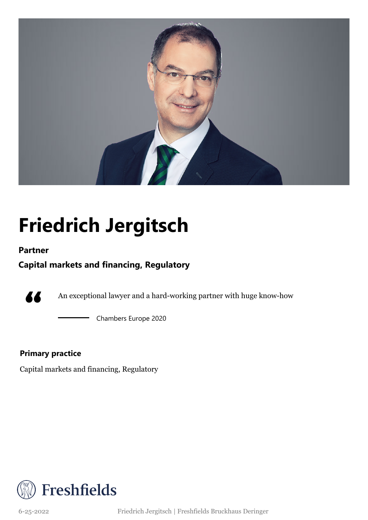

## **Friedrich Jergitsch**

### **Partner**

### **Capital markets and financing, Regulatory**



An exceptional lawyer and a hard-working partner with huge know-how

Chambers Europe 2020

### **Primary practice**

Capital markets and financing, Regulatory



6-25-2022 Friedrich Jergitsch | Freshfields Bruckhaus Deringer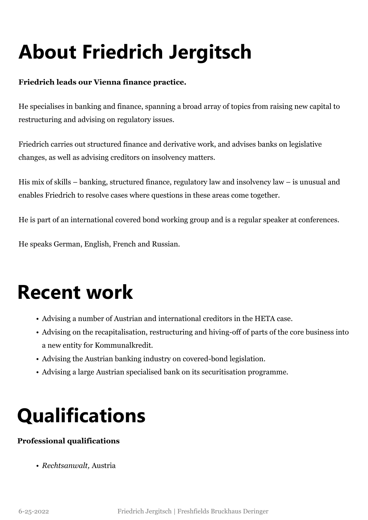# **About Friedrich Jergitsch**

### **Friedrich leads our Vienna finance practice.**

He specialises in banking and finance, spanning a broad array of topics from raising new capital to restructuring and advising on regulatory issues.

Friedrich carries out structured finance and derivative work, and advises banks on legislative changes, as well as advising creditors on insolvency matters.

His mix of skills – banking, structured finance, regulatory law and insolvency law – is unusual and enables Friedrich to resolve cases where questions in these areas come together.

He is part of an international covered bond working group and is a regular speaker at conferences.

He speaks German, English, French and Russian.

### **Recent work**

- Advising a number of Austrian and international creditors in the HETA case.
- Advising on the recapitalisation, restructuring and hiving-off of parts of the core business into a new entity for Kommunalkredit.
- Advising the Austrian banking industry on covered-bond legislation.
- Advising a large Austrian specialised bank on its securitisation programme.

## **Qualifications**

### **Professional qualifications**

• *Rechtsanwalt,* Austria